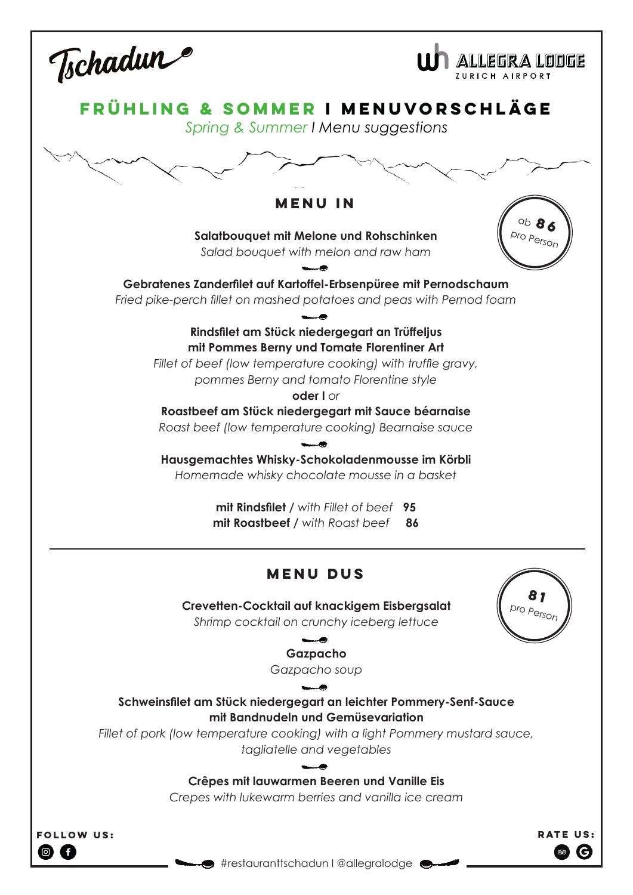